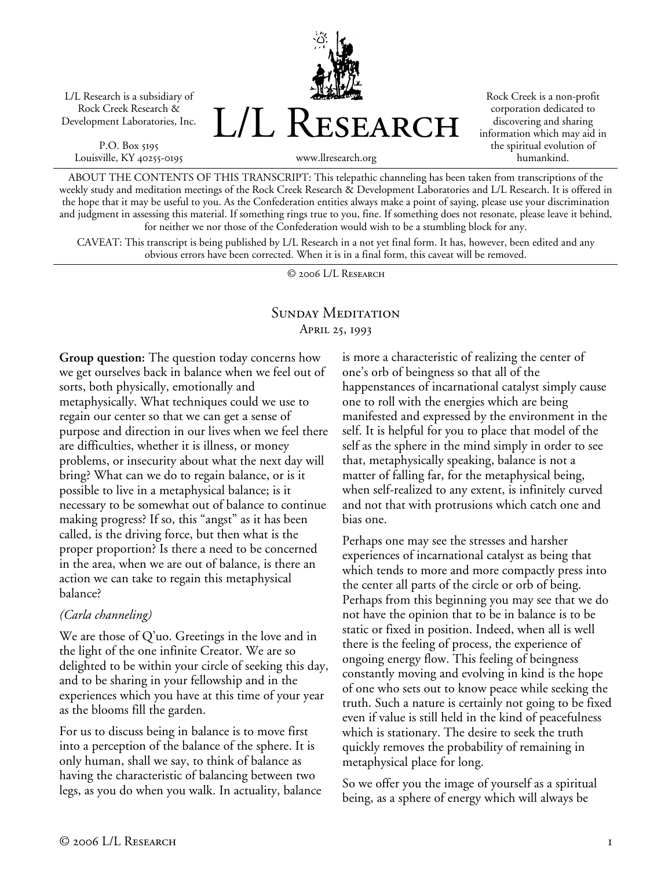L/L Research is a subsidiary of Rock Creek Research & Development Laboratories, Inc.

P.O. Box 5195 Louisville, KY 40255-0195



Rock Creek is a non-profit corporation dedicated to discovering and sharing information which may aid in the spiritual evolution of humankind.

www.llresearch.org

ABOUT THE CONTENTS OF THIS TRANSCRIPT: This telepathic channeling has been taken from transcriptions of the weekly study and meditation meetings of the Rock Creek Research & Development Laboratories and L/L Research. It is offered in the hope that it may be useful to you. As the Confederation entities always make a point of saying, please use your discrimination and judgment in assessing this material. If something rings true to you, fine. If something does not resonate, please leave it behind, for neither we nor those of the Confederation would wish to be a stumbling block for any.

CAVEAT: This transcript is being published by L/L Research in a not yet final form. It has, however, been edited and any obvious errors have been corrected. When it is in a final form, this caveat will be removed.

© 2006 L/L Research

## SUNDAY MEDITATION April 25, 1993

**Group question:** The question today concerns how we get ourselves back in balance when we feel out of sorts, both physically, emotionally and metaphysically. What techniques could we use to regain our center so that we can get a sense of purpose and direction in our lives when we feel there are difficulties, whether it is illness, or money problems, or insecurity about what the next day will bring? What can we do to regain balance, or is it possible to live in a metaphysical balance; is it necessary to be somewhat out of balance to continue making progress? If so, this "angst" as it has been called, is the driving force, but then what is the proper proportion? Is there a need to be concerned in the area, when we are out of balance, is there an action we can take to regain this metaphysical balance?

#### *(Carla channeling)*

We are those of Q'uo. Greetings in the love and in the light of the one infinite Creator. We are so delighted to be within your circle of seeking this day, and to be sharing in your fellowship and in the experiences which you have at this time of your year as the blooms fill the garden.

For us to discuss being in balance is to move first into a perception of the balance of the sphere. It is only human, shall we say, to think of balance as having the characteristic of balancing between two legs, as you do when you walk. In actuality, balance is more a characteristic of realizing the center of one's orb of beingness so that all of the happenstances of incarnational catalyst simply cause one to roll with the energies which are being manifested and expressed by the environment in the self. It is helpful for you to place that model of the self as the sphere in the mind simply in order to see that, metaphysically speaking, balance is not a matter of falling far, for the metaphysical being, when self-realized to any extent, is infinitely curved and not that with protrusions which catch one and bias one.

Perhaps one may see the stresses and harsher experiences of incarnational catalyst as being that which tends to more and more compactly press into the center all parts of the circle or orb of being. Perhaps from this beginning you may see that we do not have the opinion that to be in balance is to be static or fixed in position. Indeed, when all is well there is the feeling of process, the experience of ongoing energy flow. This feeling of beingness constantly moving and evolving in kind is the hope of one who sets out to know peace while seeking the truth. Such a nature is certainly not going to be fixed even if value is still held in the kind of peacefulness which is stationary. The desire to seek the truth quickly removes the probability of remaining in metaphysical place for long.

So we offer you the image of yourself as a spiritual being, as a sphere of energy which will always be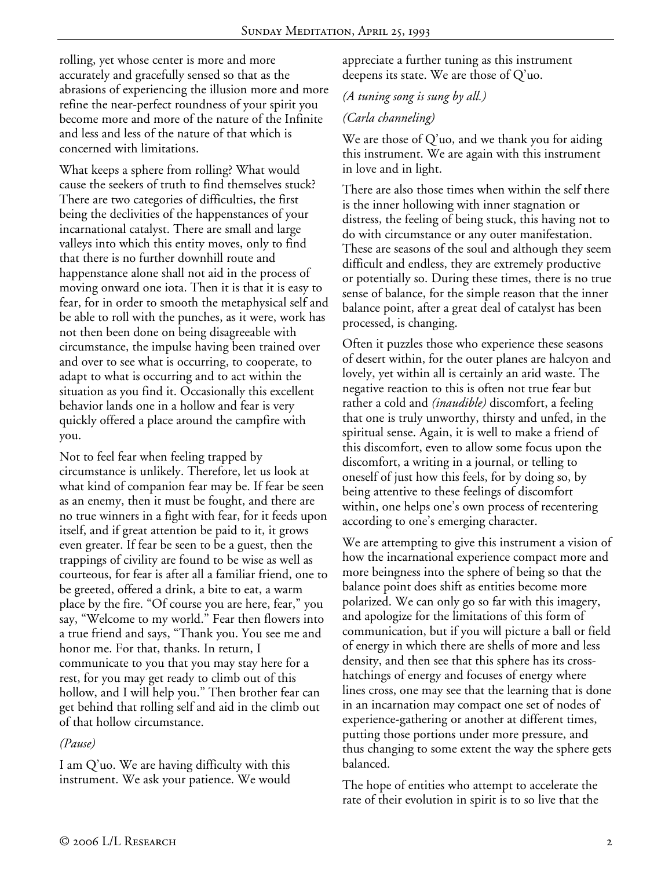rolling, yet whose center is more and more accurately and gracefully sensed so that as the abrasions of experiencing the illusion more and more refine the near-perfect roundness of your spirit you become more and more of the nature of the Infinite and less and less of the nature of that which is concerned with limitations.

What keeps a sphere from rolling? What would cause the seekers of truth to find themselves stuck? There are two categories of difficulties, the first being the declivities of the happenstances of your incarnational catalyst. There are small and large valleys into which this entity moves, only to find that there is no further downhill route and happenstance alone shall not aid in the process of moving onward one iota. Then it is that it is easy to fear, for in order to smooth the metaphysical self and be able to roll with the punches, as it were, work has not then been done on being disagreeable with circumstance, the impulse having been trained over and over to see what is occurring, to cooperate, to adapt to what is occurring and to act within the situation as you find it. Occasionally this excellent behavior lands one in a hollow and fear is very quickly offered a place around the campfire with you.

Not to feel fear when feeling trapped by circumstance is unlikely. Therefore, let us look at what kind of companion fear may be. If fear be seen as an enemy, then it must be fought, and there are no true winners in a fight with fear, for it feeds upon itself, and if great attention be paid to it, it grows even greater. If fear be seen to be a guest, then the trappings of civility are found to be wise as well as courteous, for fear is after all a familiar friend, one to be greeted, offered a drink, a bite to eat, a warm place by the fire. "Of course you are here, fear," you say, "Welcome to my world." Fear then flowers into a true friend and says, "Thank you. You see me and honor me. For that, thanks. In return, I communicate to you that you may stay here for a rest, for you may get ready to climb out of this hollow, and I will help you." Then brother fear can get behind that rolling self and aid in the climb out of that hollow circumstance.

## *(Pause)*

I am Q'uo. We are having difficulty with this instrument. We ask your patience. We would appreciate a further tuning as this instrument deepens its state. We are those of Q'uo.

*(A tuning song is sung by all.)* 

## *(Carla channeling)*

We are those of  $Q'$ uo, and we thank you for aiding this instrument. We are again with this instrument in love and in light.

There are also those times when within the self there is the inner hollowing with inner stagnation or distress, the feeling of being stuck, this having not to do with circumstance or any outer manifestation. These are seasons of the soul and although they seem difficult and endless, they are extremely productive or potentially so. During these times, there is no true sense of balance, for the simple reason that the inner balance point, after a great deal of catalyst has been processed, is changing.

Often it puzzles those who experience these seasons of desert within, for the outer planes are halcyon and lovely, yet within all is certainly an arid waste. The negative reaction to this is often not true fear but rather a cold and *(inaudible)* discomfort, a feeling that one is truly unworthy, thirsty and unfed, in the spiritual sense. Again, it is well to make a friend of this discomfort, even to allow some focus upon the discomfort, a writing in a journal, or telling to oneself of just how this feels, for by doing so, by being attentive to these feelings of discomfort within, one helps one's own process of recentering according to one's emerging character.

We are attempting to give this instrument a vision of how the incarnational experience compact more and more beingness into the sphere of being so that the balance point does shift as entities become more polarized. We can only go so far with this imagery, and apologize for the limitations of this form of communication, but if you will picture a ball or field of energy in which there are shells of more and less density, and then see that this sphere has its crosshatchings of energy and focuses of energy where lines cross, one may see that the learning that is done in an incarnation may compact one set of nodes of experience-gathering or another at different times, putting those portions under more pressure, and thus changing to some extent the way the sphere gets balanced.

The hope of entities who attempt to accelerate the rate of their evolution in spirit is to so live that the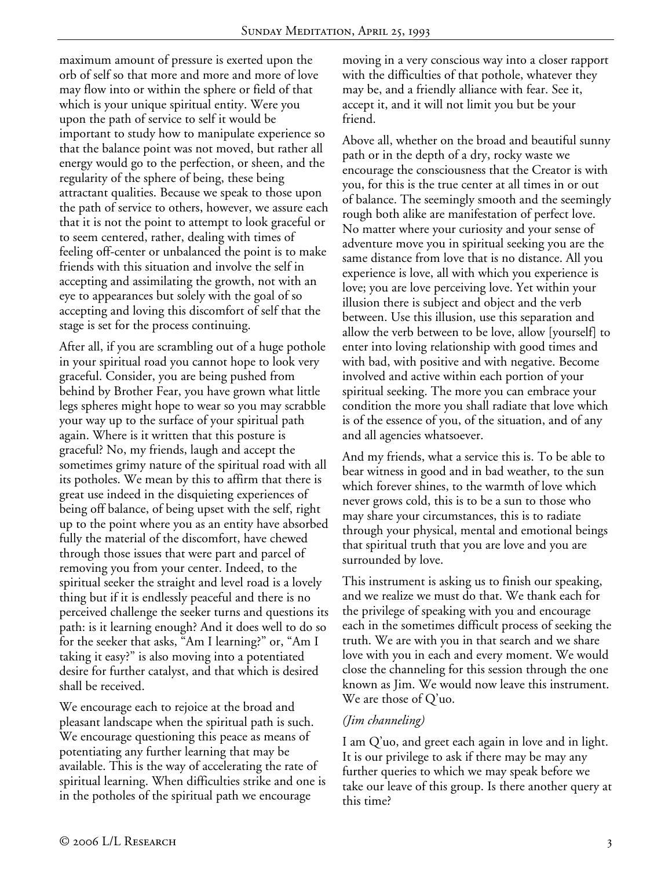maximum amount of pressure is exerted upon the orb of self so that more and more and more of love may flow into or within the sphere or field of that which is your unique spiritual entity. Were you upon the path of service to self it would be important to study how to manipulate experience so that the balance point was not moved, but rather all energy would go to the perfection, or sheen, and the regularity of the sphere of being, these being attractant qualities. Because we speak to those upon the path of service to others, however, we assure each that it is not the point to attempt to look graceful or to seem centered, rather, dealing with times of feeling off-center or unbalanced the point is to make friends with this situation and involve the self in accepting and assimilating the growth, not with an eye to appearances but solely with the goal of so accepting and loving this discomfort of self that the stage is set for the process continuing.

After all, if you are scrambling out of a huge pothole in your spiritual road you cannot hope to look very graceful. Consider, you are being pushed from behind by Brother Fear, you have grown what little legs spheres might hope to wear so you may scrabble your way up to the surface of your spiritual path again. Where is it written that this posture is graceful? No, my friends, laugh and accept the sometimes grimy nature of the spiritual road with all its potholes. We mean by this to affirm that there is great use indeed in the disquieting experiences of being off balance, of being upset with the self, right up to the point where you as an entity have absorbed fully the material of the discomfort, have chewed through those issues that were part and parcel of removing you from your center. Indeed, to the spiritual seeker the straight and level road is a lovely thing but if it is endlessly peaceful and there is no perceived challenge the seeker turns and questions its path: is it learning enough? And it does well to do so for the seeker that asks, "Am I learning?" or, "Am I taking it easy?" is also moving into a potentiated desire for further catalyst, and that which is desired shall be received.

We encourage each to rejoice at the broad and pleasant landscape when the spiritual path is such. We encourage questioning this peace as means of potentiating any further learning that may be available. This is the way of accelerating the rate of spiritual learning. When difficulties strike and one is in the potholes of the spiritual path we encourage

moving in a very conscious way into a closer rapport with the difficulties of that pothole, whatever they may be, and a friendly alliance with fear. See it, accept it, and it will not limit you but be your friend.

Above all, whether on the broad and beautiful sunny path or in the depth of a dry, rocky waste we encourage the consciousness that the Creator is with you, for this is the true center at all times in or out of balance. The seemingly smooth and the seemingly rough both alike are manifestation of perfect love. No matter where your curiosity and your sense of adventure move you in spiritual seeking you are the same distance from love that is no distance. All you experience is love, all with which you experience is love; you are love perceiving love. Yet within your illusion there is subject and object and the verb between. Use this illusion, use this separation and allow the verb between to be love, allow [yourself] to enter into loving relationship with good times and with bad, with positive and with negative. Become involved and active within each portion of your spiritual seeking. The more you can embrace your condition the more you shall radiate that love which is of the essence of you, of the situation, and of any and all agencies whatsoever.

And my friends, what a service this is. To be able to bear witness in good and in bad weather, to the sun which forever shines, to the warmth of love which never grows cold, this is to be a sun to those who may share your circumstances, this is to radiate through your physical, mental and emotional beings that spiritual truth that you are love and you are surrounded by love.

This instrument is asking us to finish our speaking, and we realize we must do that. We thank each for the privilege of speaking with you and encourage each in the sometimes difficult process of seeking the truth. We are with you in that search and we share love with you in each and every moment. We would close the channeling for this session through the one known as Jim. We would now leave this instrument. We are those of Q'uo.

## *(Jim channeling)*

I am Q'uo, and greet each again in love and in light. It is our privilege to ask if there may be may any further queries to which we may speak before we take our leave of this group. Is there another query at this time?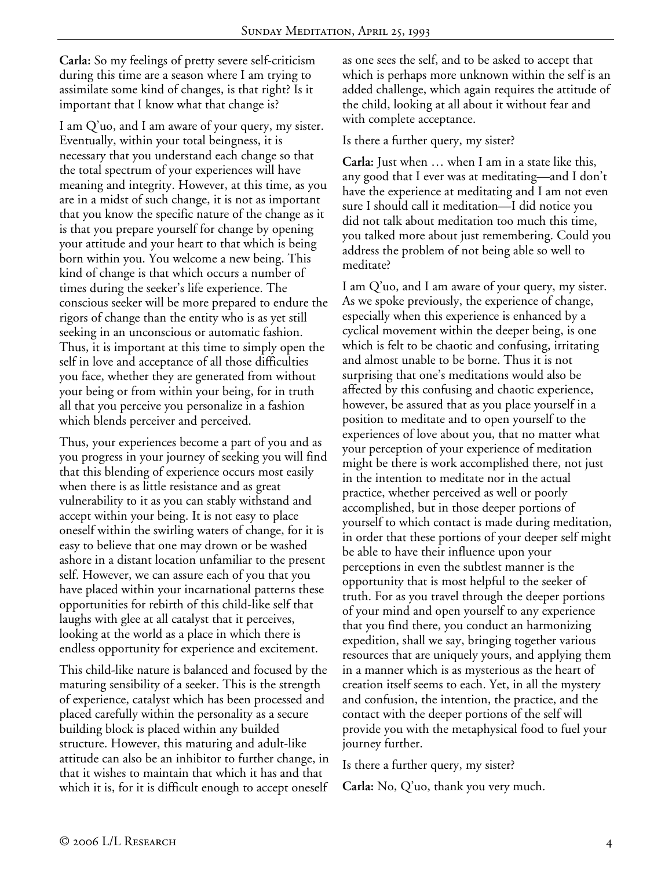**Carla:** So my feelings of pretty severe self-criticism during this time are a season where I am trying to assimilate some kind of changes, is that right? Is it important that I know what that change is?

I am Q'uo, and I am aware of your query, my sister. Eventually, within your total beingness, it is necessary that you understand each change so that the total spectrum of your experiences will have meaning and integrity. However, at this time, as you are in a midst of such change, it is not as important that you know the specific nature of the change as it is that you prepare yourself for change by opening your attitude and your heart to that which is being born within you. You welcome a new being. This kind of change is that which occurs a number of times during the seeker's life experience. The conscious seeker will be more prepared to endure the rigors of change than the entity who is as yet still seeking in an unconscious or automatic fashion. Thus, it is important at this time to simply open the self in love and acceptance of all those difficulties you face, whether they are generated from without your being or from within your being, for in truth all that you perceive you personalize in a fashion which blends perceiver and perceived.

Thus, your experiences become a part of you and as you progress in your journey of seeking you will find that this blending of experience occurs most easily when there is as little resistance and as great vulnerability to it as you can stably withstand and accept within your being. It is not easy to place oneself within the swirling waters of change, for it is easy to believe that one may drown or be washed ashore in a distant location unfamiliar to the present self. However, we can assure each of you that you have placed within your incarnational patterns these opportunities for rebirth of this child-like self that laughs with glee at all catalyst that it perceives, looking at the world as a place in which there is endless opportunity for experience and excitement.

This child-like nature is balanced and focused by the maturing sensibility of a seeker. This is the strength of experience, catalyst which has been processed and placed carefully within the personality as a secure building block is placed within any builded structure. However, this maturing and adult-like attitude can also be an inhibitor to further change, in that it wishes to maintain that which it has and that which it is, for it is difficult enough to accept oneself

as one sees the self, and to be asked to accept that which is perhaps more unknown within the self is an added challenge, which again requires the attitude of the child, looking at all about it without fear and with complete acceptance.

#### Is there a further query, my sister?

**Carla:** Just when … when I am in a state like this, any good that I ever was at meditating—and I don't have the experience at meditating and I am not even sure I should call it meditation—I did notice you did not talk about meditation too much this time, you talked more about just remembering. Could you address the problem of not being able so well to meditate?

I am Q'uo, and I am aware of your query, my sister. As we spoke previously, the experience of change, especially when this experience is enhanced by a cyclical movement within the deeper being, is one which is felt to be chaotic and confusing, irritating and almost unable to be borne. Thus it is not surprising that one's meditations would also be affected by this confusing and chaotic experience, however, be assured that as you place yourself in a position to meditate and to open yourself to the experiences of love about you, that no matter what your perception of your experience of meditation might be there is work accomplished there, not just in the intention to meditate nor in the actual practice, whether perceived as well or poorly accomplished, but in those deeper portions of yourself to which contact is made during meditation, in order that these portions of your deeper self might be able to have their influence upon your perceptions in even the subtlest manner is the opportunity that is most helpful to the seeker of truth. For as you travel through the deeper portions of your mind and open yourself to any experience that you find there, you conduct an harmonizing expedition, shall we say, bringing together various resources that are uniquely yours, and applying them in a manner which is as mysterious as the heart of creation itself seems to each. Yet, in all the mystery and confusion, the intention, the practice, and the contact with the deeper portions of the self will provide you with the metaphysical food to fuel your journey further.

Is there a further query, my sister?

**Carla:** No, Q'uo, thank you very much.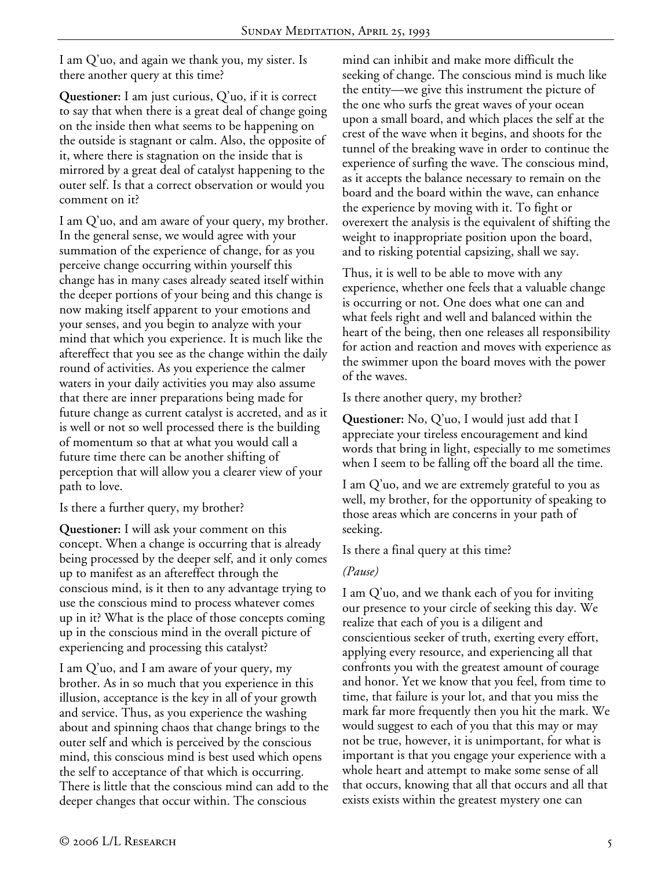I am Q'uo, and again we thank you, my sister. Is there another query at this time?

**Questioner:** I am just curious, Q'uo, if it is correct to say that when there is a great deal of change going on the inside then what seems to be happening on the outside is stagnant or calm. Also, the opposite of it, where there is stagnation on the inside that is mirrored by a great deal of catalyst happening to the outer self. Is that a correct observation or would you comment on it?

I am Q'uo, and am aware of your query, my brother. In the general sense, we would agree with your summation of the experience of change, for as you perceive change occurring within yourself this change has in many cases already seated itself within the deeper portions of your being and this change is now making itself apparent to your emotions and your senses, and you begin to analyze with your mind that which you experience. It is much like the aftereffect that you see as the change within the daily round of activities. As you experience the calmer waters in your daily activities you may also assume that there are inner preparations being made for future change as current catalyst is accreted, and as it is well or not so well processed there is the building of momentum so that at what you would call a future time there can be another shifting of perception that will allow you a clearer view of your path to love.

Is there a further query, my brother?

**Questioner:** I will ask your comment on this concept. When a change is occurring that is already being processed by the deeper self, and it only comes up to manifest as an aftereffect through the conscious mind, is it then to any advantage trying to use the conscious mind to process whatever comes up in it? What is the place of those concepts coming up in the conscious mind in the overall picture of experiencing and processing this catalyst?

I am Q'uo, and I am aware of your query, my brother. As in so much that you experience in this illusion, acceptance is the key in all of your growth and service. Thus, as you experience the washing about and spinning chaos that change brings to the outer self and which is perceived by the conscious mind, this conscious mind is best used which opens the self to acceptance of that which is occurring. There is little that the conscious mind can add to the deeper changes that occur within. The conscious

mind can inhibit and make more difficult the seeking of change. The conscious mind is much like the entity—we give this instrument the picture of the one who surfs the great waves of your ocean upon a small board, and which places the self at the crest of the wave when it begins, and shoots for the tunnel of the breaking wave in order to continue the experience of surfing the wave. The conscious mind, as it accepts the balance necessary to remain on the board and the board within the wave, can enhance the experience by moving with it. To fight or overexert the analysis is the equivalent of shifting the weight to inappropriate position upon the board, and to risking potential capsizing, shall we say.

Thus, it is well to be able to move with any experience, whether one feels that a valuable change is occurring or not. One does what one can and what feels right and well and balanced within the heart of the being, then one releases all responsibility for action and reaction and moves with experience as the swimmer upon the board moves with the power of the waves.

Is there another query, my brother?

**Questioner:** No, Q'uo, I would just add that I appreciate your tireless encouragement and kind words that bring in light, especially to me sometimes when I seem to be falling off the board all the time.

I am Q'uo, and we are extremely grateful to you as well, my brother, for the opportunity of speaking to those areas which are concerns in your path of seeking.

Is there a final query at this time?

# *(Pause)*

I am Q'uo, and we thank each of you for inviting our presence to your circle of seeking this day. We realize that each of you is a diligent and conscientious seeker of truth, exerting every effort, applying every resource, and experiencing all that confronts you with the greatest amount of courage and honor. Yet we know that you feel, from time to time, that failure is your lot, and that you miss the mark far more frequently then you hit the mark. We would suggest to each of you that this may or may not be true, however, it is unimportant, for what is important is that you engage your experience with a whole heart and attempt to make some sense of all that occurs, knowing that all that occurs and all that exists exists within the greatest mystery one can